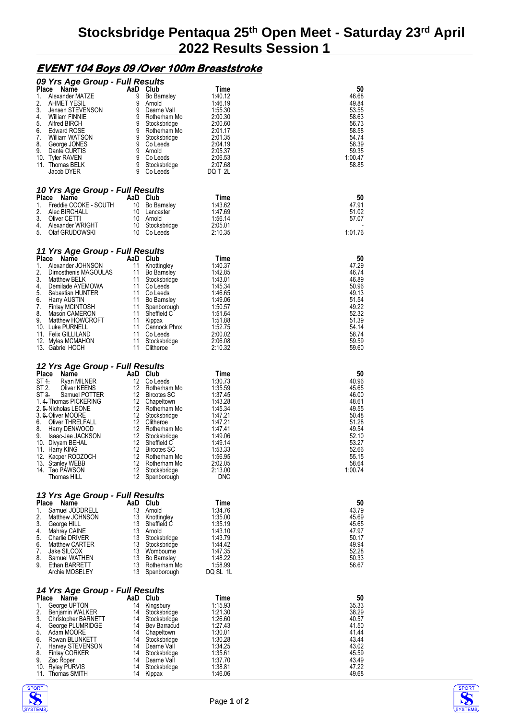## **EVENT 104 Boys 09 /Over 100m Breaststroke**

|              | 09 Yrs Age Group - Full Results                |           |                                    |                       |                |
|--------------|------------------------------------------------|-----------|------------------------------------|-----------------------|----------------|
| Place        | Name                                           | AaD Club  |                                    | Time                  | 50             |
| 1.           | Alexander MATZE                                | 9         | Bo Barnsley                        | 1:40.12               | 46.68          |
| 2.<br>3.     | AHMET YESIL<br>Jensen STEVENSON                | 9         | Arnold<br>9 Dearne Vall            | 1:46.19<br>1:55.30    | 49.84<br>53.55 |
| 4.           | William FINNIE                                 | 9         | Rotherham Mo                       | 2:00.30               | 58.63          |
| 5.           | Alfred BIRCH                                   | 9         | Stocksbridge                       | 2:00.60               | 56.73          |
| 6.           | <b>Edward ROSE</b>                             | 9         | 9 Rotherham Mo                     | 2:01.17               | 58.58          |
| 7.<br>8.     | William WATSON<br>George JONES                 | 9         | Stocksbridge<br>Co Leeds           | 2:01.35<br>2:04.19    | 54.74<br>58.39 |
| 9.           | Dante CURTIS                                   |           | 9 Arnold                           | 2:05.37               | 59.35          |
|              | 10. Tyler RAVEN                                | 9         | Co Leeds                           | 2:06.53               | 1:00.47        |
|              | 11. Thomas BELK<br>Jacob DYER                  | 9<br>9    | Stocksbridge<br>Co Leeds           | 2:07.68<br>DQ T 2L    | 58.85          |
|              |                                                |           |                                    |                       |                |
|              | 10 Yrs Age Group - Full Results                |           |                                    |                       |                |
| Place        | Name                                           | AaD Club  |                                    | Time                  | 50             |
| 1.           | Freddie COOKE - SOUTH                          |           | 10 Bo Barnsley                     | 1:43.62               | 47.91          |
| 2.<br>3.     | Alec BIRCHALL<br>Oliver CETTI                  | 10        | 10 Lancaster<br>Arnold             | 1:47.69<br>1:56.14    | 51.02<br>57.07 |
| 4.           | Alexander WRIGHT                               |           | 10 Stocksbridge                    | 2:05.01               |                |
| 5.           | Olaf GRUDOWSKI                                 |           | 10 Co Leeds                        | 2:10.35               | 1:01.76        |
|              |                                                |           |                                    |                       |                |
|              | 11 Yrs Age Group - Full Results<br>Place Name  | AaD Club  |                                    | Time                  | 50             |
| 1.           | Alexander JOHNSON                              | 11        | Knottingley                        | 1:40.37               | 47.29          |
| 2.           | Dimosthenis MAGOULAS                           | 11        | <b>Bo Barnsley</b>                 | 1:42.85               | 46.74          |
| 3.           | Matthew BELK                                   | 11        | Stocksbridge                       | 1:43.01               | 46.89          |
| 4.<br>5.     | Demilade AYEMOWA<br>Sebastian HUNTER           | 11        | 11 Co Leeds<br>Co Leeds            | 1:45.34<br>1:46.65    | 50.96<br>49.13 |
| 6.           | <b>Harry AUSTIN</b>                            |           | 11 Bo Barnsley                     | 1:49.06               | 51.54          |
| 7.           | <b>Finlay MCINTOSH</b>                         | 11        | Spenborough                        | 1:50.57               | 49.22          |
| 8.           | Mason CAMERON                                  | 11        | Sheffield C                        | 1:51.64               | 52.32          |
| 9.           | Matthew HOWCROFT<br>10. Luke PURNELL           | 11<br>11  | Kippax<br>Cannock Phnx             | 1:51.88<br>1:52.75    | 51.39<br>54.14 |
|              | 11. Felix GILLILAND                            | 11        | Co Leeds                           | 2:00.02               | 58.74          |
|              | 12. Myles MCMAHON                              | 11        | Stocksbridge                       | 2:06.08               | 59.59          |
|              | 13. Gabriel HOCH                               | 11        | Clitheroe                          | 2:10.32               | 59.60          |
|              |                                                |           |                                    |                       |                |
| <b>Place</b> | 12 Yrs Age Group - Full Results<br>Name        | AaD Club  |                                    | Time                  | 50             |
| ST 1.        | Ryan MILNER                                    | 12        | Co Leeds                           | 1:30.73               | 40.96          |
| ST 2.        | Oliver KEENS                                   | 12        | Rotherham Mo                       | 1:35.59               | 45.65          |
| ST 3.        | Samuel POTTER                                  |           | 12 Bircotes SC                     | 1:37.45               | 46.00          |
|              | 1. 4. Thomas PICKERING<br>2. 5. Nicholas LEONE | 12        | 12 Chapeltown<br>Rotherham Mo      | 1:43.28<br>1:45.34    | 48.61<br>49.55 |
|              | 3. 6. Oliver MOORE                             |           | 12 Stocksbridge                    | 1:47.21               | 50.48          |
| 6.           | Oliver THRELFALL                               |           | 12 Clitheroe                       | 1:47.21               | 51.28          |
| 8.           | Harry DENWOOD                                  | 12        | Rotherham Mo                       | 1:47.41               | 49.54          |
| 9.           | Isaac-Jae JACKSON<br>10. Divyam BEHAL          | 12<br>12  | Stocksbridge<br>Sheffield C        | 1:49.06<br>1:49.14    | 52.10<br>53.27 |
|              | 11. Harry KING                                 | 12        | <b>Bircotes SC</b>                 | 1:53.33               | 52.66          |
|              | 12. Kacper RODZOCH                             | 12        | Rotherham Mo                       | 1:56.95               | 55.15          |
|              | 13. Stanley WEBB                               | 12        | Rotherham Mo                       | 2:02.05               | 58.64          |
|              | 14. Tao PAWSON<br>Thomas HILL                  | 12<br>12  | Stocksbridge<br>Spenborough        | 2:13.00<br><b>DNC</b> | 1:00.74        |
|              |                                                |           |                                    |                       |                |
|              | 13 Yrs Age Group - Full Results                |           |                                    |                       |                |
| Place        | Name                                           | AaD Club  |                                    | Time                  | 50             |
| 1.           | Samuel JODDRELL                                | 13        | Arnold                             | 1:34.76               | 43.79          |
| 2.<br>3.     | Matthew JOHNSON                                | 13<br>13  | Knottingley<br>Sheffield C         | 1:35.00<br>1:35.19    | 45.69<br>45.65 |
| 4.           | George HILL<br>Mahrey CAINE                    | 13        | Arnold                             | 1:43.10               | 47.97          |
| 5.           | <b>Charlie DRIVER</b>                          | 13        | Stocksbridge                       | 1:43.79               | 50.17          |
| 6.           | <b>Matthew CARTER</b>                          | 13        | Stocksbridge                       | 1:44.42               | 49.94          |
| 7.<br>8.     | Jake SILCOX                                    | 13<br>13  | Wombourne                          | 1:47.35<br>1:48.22    | 52.28<br>50.33 |
| 9.           | Samuel WATHEN<br>Ethan BARRETT                 | 13        | <b>Bo Barnsley</b><br>Rotherham Mo | 1:58.99               | 56.67          |
|              | Archie MOSELEY                                 | 13        | Spenborough                        | DQ SL 1L              |                |
|              |                                                |           |                                    |                       |                |
|              | 14 Yrs Age Group - Full Results                |           |                                    |                       | 50             |
| Place<br>1.  | Name<br>George UPTON                           | AaD<br>14 | Club<br>Kingsbury                  | Time<br>1:15.93       | 35.33          |
| 2.           | Benjamin WALKER                                | 14        | Stocksbridge                       | 1:21.30               | 38.29          |
| 3.           | Christopher BARNETT                            | 14        | Stocksbridge                       | 1:26.60               | 40.57          |
| 4.           | George PLUMRIDGE                               | 14        | Bev Barracud                       | 1:27.43               | 41.50          |
| 5.<br>6.     | Adam MOORE<br>Rowan BLUNKETT                   | 14<br>14  | Chapeltown<br>Stocksbridge         | 1:30.01<br>1:30.28    | 41.44<br>43.44 |
| 7.           | Harvey STEVENSON                               | 14        | Dearne Vall                        | 1:34.25               | 43.02          |
| 8.           | <b>Finlay CORKER</b>                           | 14        | Stocksbridge                       | 1:35.61               | 45.59          |
| 9.           | Zac Roper                                      | 14        | Dearne Vall                        | 1:37.70               | 43.49          |
| 11.          | 10. Ryley PURVIS<br>Thomas SMITH               | 14<br>14  | Stocksbridge<br>Kippax             | 1:38.81<br>1:46.06    | 47.22<br>49.68 |